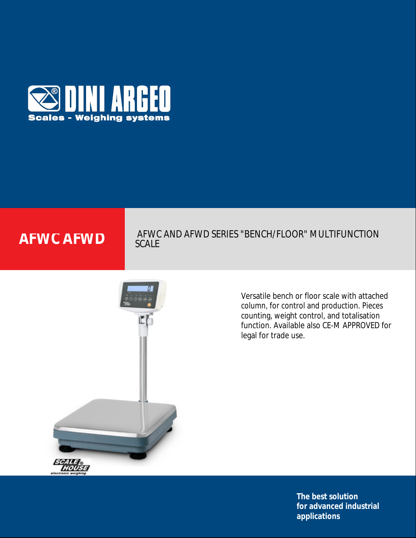

## **AFWC AFWC AND AFWD SERIES "BENCH/FLOOR" MULTIFUNCTION** SCALE



Versatile bench or floor scale with attached column, for control and production. Pieces counting, weight control, and totalisation function. Available also CE-M APPROVED for legal for trade use.

> **The best solution for advanced industrial applications**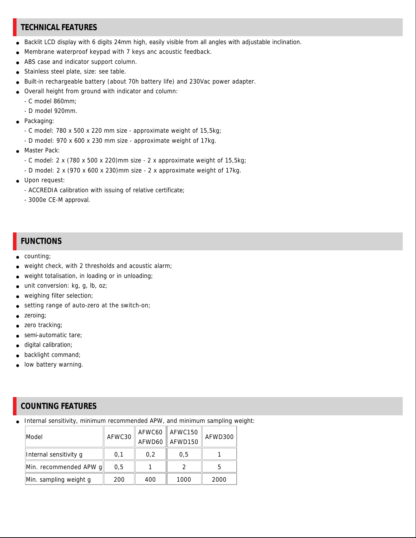### **TECHNICAL FEATURES**

- Backlit LCD display with 6 digits 24mm high, easily visible from all angles with adjustable inclination.
- Membrane waterproof keypad with 7 keys anc acoustic feedback.
- ABS case and indicator support column.
- Stainless steel plate, size: see table.
- Built-in rechargeable battery (about 70h battery life) and 230Vac power adapter.
- Overall height from ground with indicator and column:
	- C model 860mm;
	- D model 920mm.
- Packaging:
	- C model: 780 x 500 x 220 mm size approximate weight of 15,5kg;
	- D model: 970 x 600 x 230 mm size approximate weight of 17kg.
- Master Pack:
	- C model: 2 x (780 x 500 x 220)mm size 2 x approximate weight of 15,5kg;
	- D model: 2 x (970 x 600 x 230)mm size 2 x approximate weight of 17kg.
- Upon request:
	- ACCREDIA calibration with issuing of relative certificate;
	- 3000e CE-M approval.

#### **FUNCTIONS**

- counting;
- weight check, with 2 thresholds and acoustic alarm;
- weight totalisation, in loading or in unloading;
- $\bullet$  unit conversion: kg, g, lb, oz;
- weighing filter selection;
- setting range of auto-zero at the switch-on;
- zeroing;
- zero tracking;
- semi-automatic tare;
- digital calibration;
- backlight command;
- low battery warning.

## **COUNTING FEATURES**

• Internal sensitivity, minimum recommended APW, and minimum sampling weight:

| Model                  | AFWC30 |     | AFWC60   AFWC150<br>AFWD60 AFWD150 | AFWD300 |
|------------------------|--------|-----|------------------------------------|---------|
| Internal sensitivity g | 0,1    | 0,2 | 0.5                                |         |
| Min. recommended APW g | 0.5    |     |                                    |         |
| Min. sampling weight g | 200    | 400 | 1000                               | 2000    |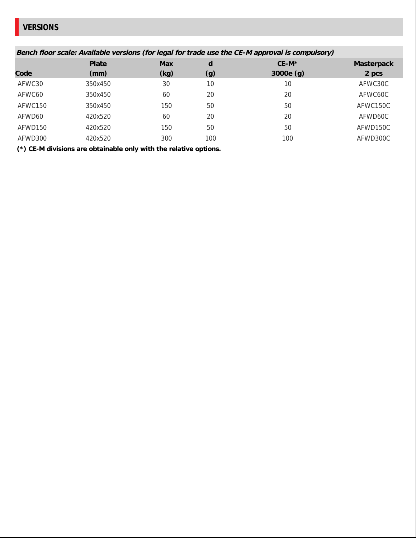# **VERSIONS**

| Bench floor scale: Available versions (for legal for trade use the CE-M approval is compulsory) |         |      |     |          |            |  |  |  |
|-------------------------------------------------------------------------------------------------|---------|------|-----|----------|------------|--|--|--|
|                                                                                                 | Plate   | Max  | d   | $CE-M*$  | Masterpack |  |  |  |
| Code                                                                                            | (mm)    | (kg) | (g) | 3000e(g) | 2 pcs      |  |  |  |
| AFWC30                                                                                          | 350x450 | 30   | 10  | 10       | AFWC30C    |  |  |  |
| AFWC60                                                                                          | 350x450 | 60   | 20  | 20       | AFWC60C    |  |  |  |
| AFWC150                                                                                         | 350x450 | 150  | 50  | 50       | AFWC150C   |  |  |  |
| AFWD60                                                                                          | 420x520 | 60   | 20  | 20       | AFWD60C    |  |  |  |
| AFWD150                                                                                         | 420x520 | 150  | 50  | 50       | AFWD150C   |  |  |  |
| AFWD300                                                                                         | 420x520 | 300  | 100 | 100      | AFWD300C   |  |  |  |
|                                                                                                 |         |      |     |          |            |  |  |  |

 **(\*) CE-M divisions are obtainable only with the relative options.**